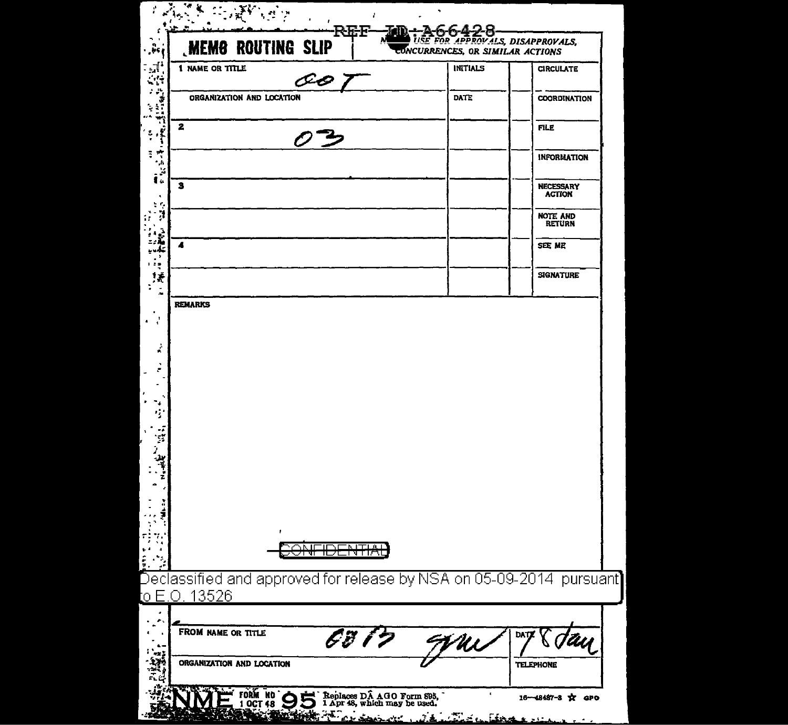| <b>MEMO ROUTING SLIP</b>                                                                       | <b>USE FOR APPROVALS, DISAPPROVALS,</b><br>CONCURRENCES, OR SIMILAR ACTIONS |                                  |
|------------------------------------------------------------------------------------------------|-----------------------------------------------------------------------------|----------------------------------|
| 1 NAME OR TITLE<br>ŒO T                                                                        | INITIALS                                                                    | <b>CIRCULATE</b>                 |
| ORGANIZATION AND LOCATION                                                                      | DATE                                                                        | <b>COORDINATION</b>              |
| 2<br>のろ                                                                                        |                                                                             | FILE                             |
|                                                                                                |                                                                             | INFORMATION                      |
| 3                                                                                              |                                                                             | NECESSARY<br><b>ACTION</b>       |
|                                                                                                |                                                                             | <b>NOTE AND</b><br><b>RETURN</b> |
| 4                                                                                              |                                                                             | SEE ME                           |
|                                                                                                |                                                                             | <b>SIGNATURE</b>                 |
|                                                                                                |                                                                             |                                  |
| f.                                                                                             |                                                                             |                                  |
| عسم<br>Ħ<br><del>INTIAL</del><br>πт                                                            |                                                                             |                                  |
| Declassified and approved for release by NSA on 05-09-2014  pursuant]<br><u>to E.O. 13526.</u> |                                                                             |                                  |
| FROM NAME OR TITLE                                                                             |                                                                             | DAT                              |
| 6817<br>ORGANIZATION AND LOCATION                                                              | Mi                                                                          | <b>TELEPHONE</b>                 |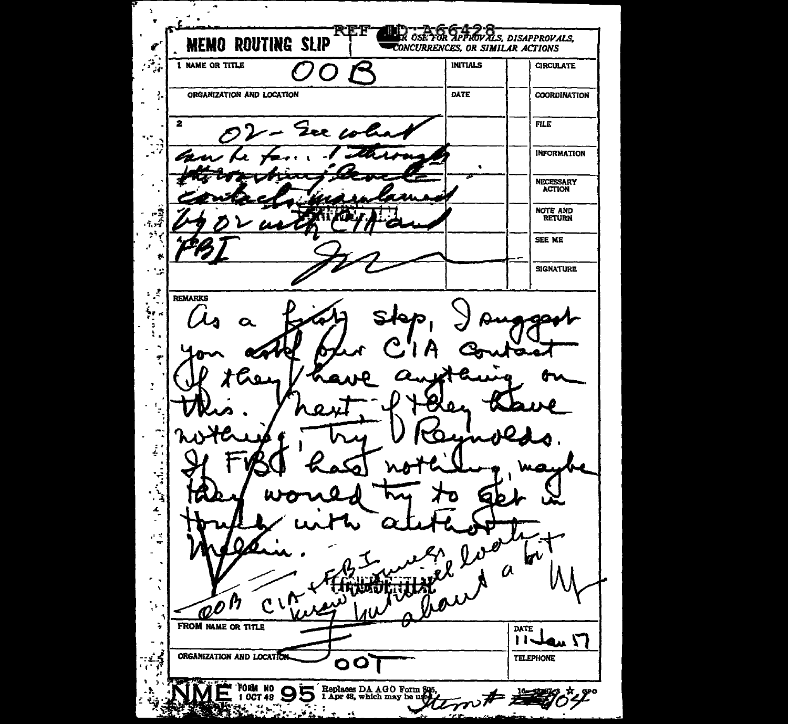Ä,  $\boldsymbol{\hat{z}}$ R OSE TOR APPROVALS, DISAPPROVALS, **MEMO ROUTING SLIP** CONCURRENCES, OR SIMILAR ACTIONS  $\mathcal{P}_{\mathcal{A}}$ **1 NAME OR TITLE INITIALS CIRCULATE** DATE Ą, ORGANIZATION AND LOCATION **COORDINATION**  $\overline{\mathbf{2}}$ **FILE** Der col ۰,۰  $\sim$  $\mathcal{L}^{\mathcal{L}}$ **INFORMATION** ln  $\bullet$ NECESSARY<br>ACTION NOTE AND<br>RETURN -2  $\tau_{\rm eff}$ 59 SEE ME  $\mathbf{r}$ **SIGNATURE**  $+2\pi$  $\mathcal{L}$ REMARKS ÷. ٠  $\overline{a}$ ų. J, į ۰,  $\frac{4}{1}$  $\mu \propto$  $\bullet$  $\mu$  $\boldsymbol{r}$  $\alpha$  $\cdot$  $C\wr\mathcal{C}$  $\mathscr{D}^\mathsf{h}$ FROM NAME OR TITLE ŋ, DATE  $11$ dan  $\sqrt{ }$ ORGANIZATION AND LOCATION **TELEPHONE** 00 FORM NO  $\bigcirc$  form no  $\bigcirc$ Replaces DA AGO Form 80  $\mathcal{L}_{\mathbf{a}}$  , بعدمته وسيغمد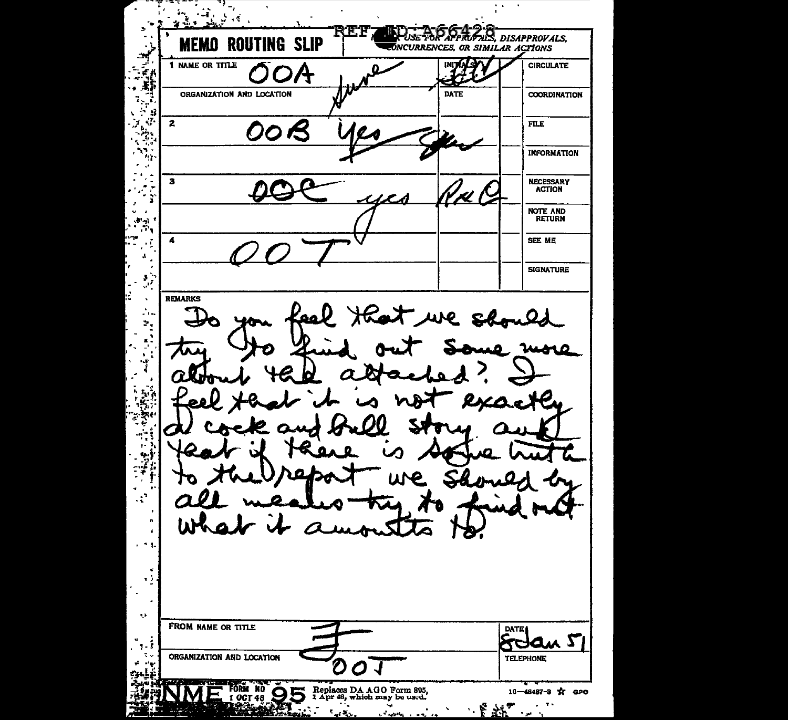**REF** NIJ T USE TOR APPROFALS, DISAPPROVALS, **MEMO ROUTING SLIP** foncurrences, or similar actions 1 NAME OR TITLE **CIRCULATE** ORGANIZATION AND LOCATION DATE **COORDINATION** £Ī a  $\mathbf{z}$  ${\tt FILE}$ 00 B **INFORMATION** 41  $\overline{\phantom{a}}$ 3 **NECESSARY**<br>ACTION T NOTE AND<br>RETURN Ĭ.  $\mathbf{F}$  as т,  $\blacktriangleleft$ SEE ME  $\mathbf{r}$ **SIGNATURE**  $\mathcal{G}^{\mathcal{S}}$ **REMARKS**  $\Delta$ eal that we should  $\mathcal{L}_{\text{in}}$  $\mathcal{P}_\mathbf{r}$ more I  $\cdot$  $\mathcal{C}$ W ø ÷ FROM NAME OR TITLE  $P_{-}^{DATE}$ SAOW Z  $\sim$  1 ORGANIZATION AND LOCATION **TELEPHONE** C  $\boldsymbol{O}$  $\mathcal{A}$ **ORM NO**<br>COCT 48 Replaces DA AGO Form 895,<br>1 Apr 48, which may be used. 5 16-48487-3 \* aPO  $5.73$  $\mathbf{r}$ بالمهربة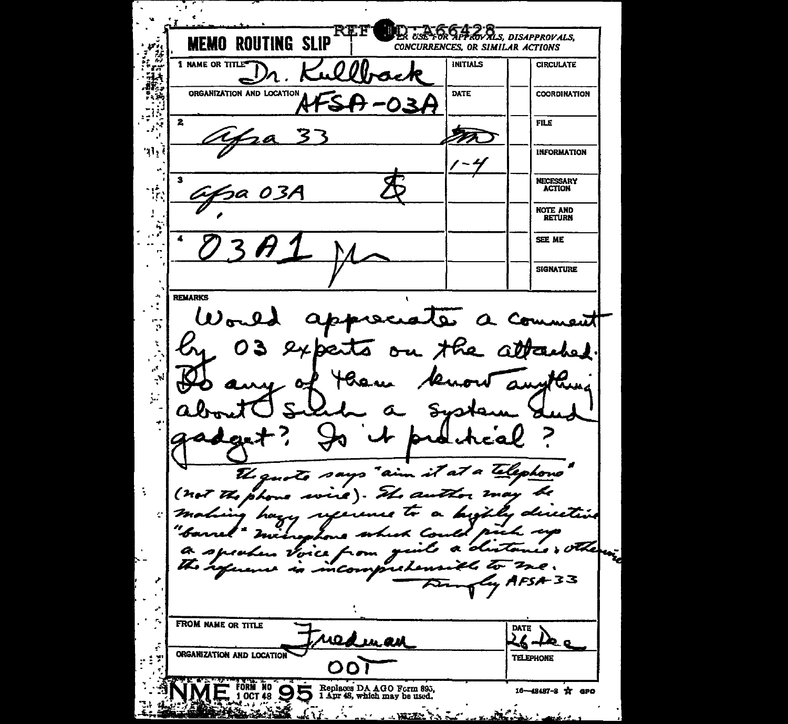**SAGEROVALS, DISAPPROVALS,**  $m_{\rm S}$ **MEMO ROUTING SLIP** CONCURRENCES, OR SIMILAR ACTIONS E. **1 NAME OR TITLE\* INITIALS CIRCULATE** 'r: ORGANIZATION AND LOCATION DATE **COORDINATION**  $\mathbf{z}$  $FILE$ M 2A ۹ì, **INFORMATION**  $\mathbf{3}$ **NECESSARY ACTION** 5a 03*H* **NOTE AND RETURN** 4 SEE ME **SIGNATURE REMARKS** World appreciate a **Ce** ment  $\ddot{\phantom{a}}$  $\mathcal{C}$ the atta ex  $\sigma$ u .ba  $\overline{\mathbf{A}}$ لیمه ţ. محا The quote says "aim it at a telephone (not the phone may be zL a ۱ صب وسعد harry duuti سعر othe  $\alpha$ Vorce Z.  $\mathbb{Z}^{-}$  $z_{\lambda}$  $4$ FSA-33 **FROM NAME OR TITLE DATE** weduran ø ORGANIZATION AND LOCATION **TELEPHONE** OO. FORM NO OD Replaces DA AGO Form 895, 16-48487-8 \* aPO **Martin Adams Report**  $\mathcal{L}$  and **WEEK YA**